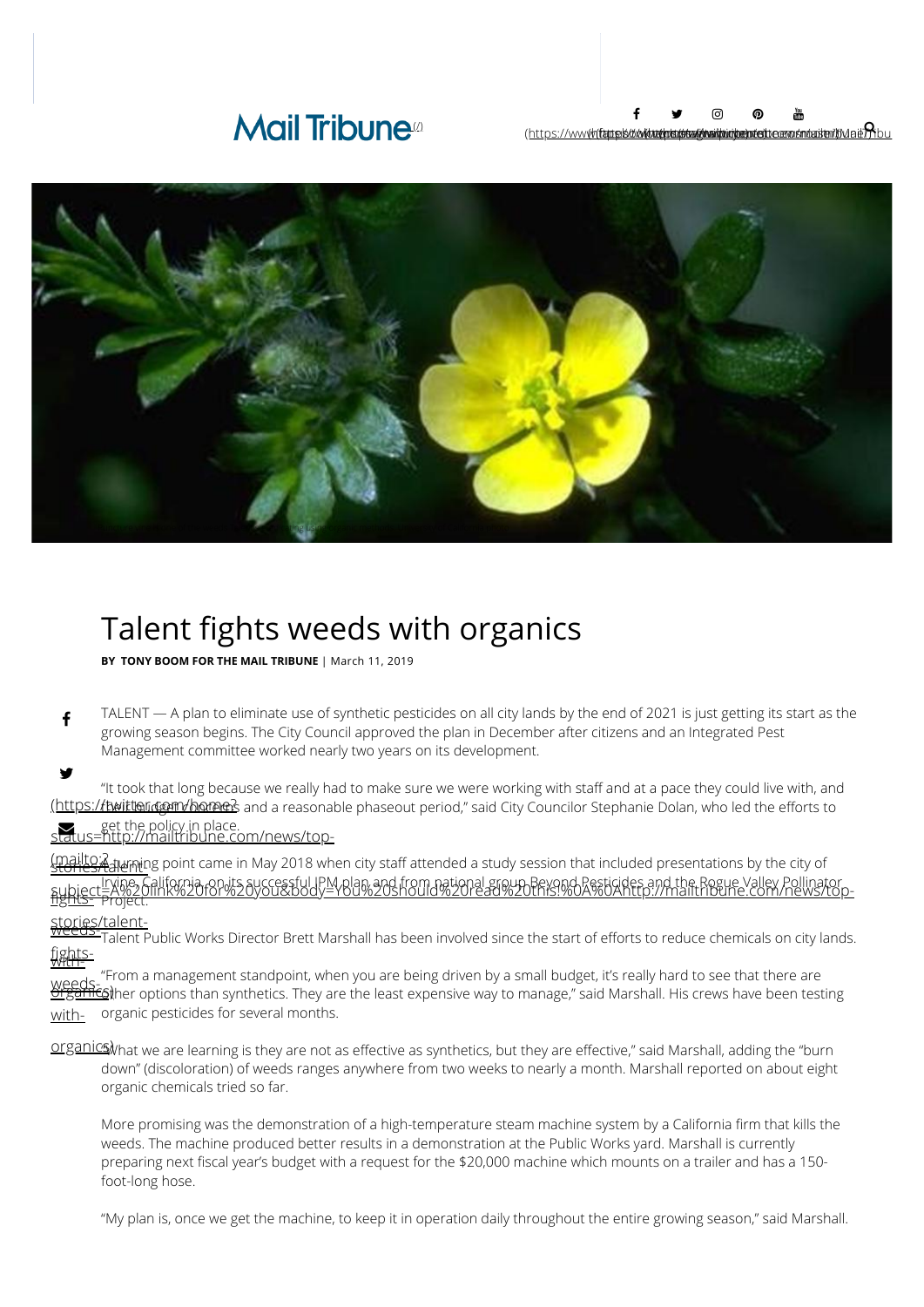## **Mail Tribune**<sup>®</sup>



# Talent fights weeds with organics

**BY TONY BOOM FOR THE MAIL TRIBUNE** | March 11, 2019

 $\mathbf f$ TALENT — A plan to eliminate use of synthetic pesticides on all city lands by the end of 2021 is just getting its start as the growing season begins. The City Council approved the plan in December after citizens and an Integrated Pest Management committee worked nearly two years on its development.

y <u>(https:/**/twittond@m/home**?</u> and a reasonable phaseout period," said City Councilor Stephanie Dolan, who led the efforts to [status=http://mailtribune.com/news/top-](https://twitter.com/home?status=http://mailtribune.com/news/top-stories/talent-fights-weeds-with-organics) $\blacktriangledown$  . "It took that long because we really had to make sure we were working with staff and at a pace they could live with, and get the policy in place.

(mailto:?<br><u>stories/talumi</u>ng point came in May 2018 when city staff attended a study session that included presentations by the city of . Irvine, California, on its successful IPM plan and from national group Beyond Pesticides and the Rogue Valley Pollinator<br><u>1ghts-</u> Project.<br><u>1ghts-</u> Project. Project.

#### stories/talent-<br><del>weeds-<sub>Talent</sub> p</del> <u>with-</u> <u>fights-</u> <u>talent Public Works Director Brett Marshall has been involved since the start of efforts to reduce chemicals on city lands.</u>

<u>weeds-</u><br><u>Organicsj</u> with-"From a management standpoint, when you are being driven by a small budget, it's really hard to see that there are  $\mathfrak{\S}$ ther options than synthetics. They are the least expensive way to manage," said Marshall. His crews have been testing organic pesticides for several months.

organics) hat we are learning is they are not as effective as synthetics, but they are effective," said Marshall, adding the "burn down" (discoloration) of weeds ranges anywhere from two weeks to nearly a month. Marshall reported on about eight organic chemicals tried so far.

More promising was the demonstration of a high-temperature steam machine system by a California firm that kills the weeds. The machine produced better results in a demonstration at the Public Works yard. Marshall is currently preparing next fiscal year's budget with a request for the \$20,000 machine which mounts on a trailer and has a 150foot-long hose.

"My plan is, once we get the machine, to keep it in operation daily throughout the entire growing season," said Marshall.